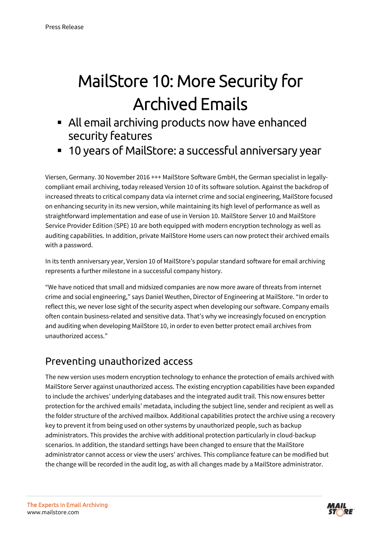# MailStore 10: More Security for Archived Emails

- All email archiving products now have enhanced security features
- 10 years of MailStore: a successful anniversary year

Viersen, Germany. 30 November 2016 +++ MailStore Software GmbH, the German specialist in legallycompliant email archiving, today released Version 10 of its software solution. Against the backdrop of increased threats to critical company data via internet crime and social engineering, MailStore focused on enhancing security in its new version, while maintaining its high level of performance as well as straightforward implementation and ease of use in Version 10. MailStore Server 10 and MailStore Service Provider Edition (SPE) 10 are both equipped with modern encryption technology as well as auditing capabilities. In addition, private MailStore Home users can now protect their archived emails with a password.

In its tenth anniversary year, Version 10 of MailStore's popular standard software for email archiving represents a further milestone in a successful company history.

"We have noticed that small and midsized companies are now more aware of threats from internet crime and social engineering," says Daniel Weuthen, Director of Engineering at MailStore. "In order to reflect this, we never lose sight of the security aspect when developing our software. Company emails often contain business-related and sensitive data. That's why we increasingly focused on encryption and auditing when developing MailStore 10, in order to even better protect email archives from unauthorized access."

### Preventing unauthorized access

The new version uses modern encryption technology to enhance the protection of emails archived with MailStore Server against unauthorized access. The existing encryption capabilities have been expanded to include the archives' underlying databases and the integrated audit trail. This now ensures better protection for the archived emails' metadata, including the subject line, sender and recipient as well as the folder structure of the archived mailbox. Additional capabilities protect the archive using a recovery key to prevent it from being used on other systems by unauthorized people, such as backup administrators. This provides the archive with additional protection particularly in cloud-backup scenarios. In addition, the standard settings have been changed to ensure that the MailStore administrator cannot access or view the users' archives. This compliance feature can be modified but the change will be recorded in the audit log, as with all changes made by a MailStore administrator.

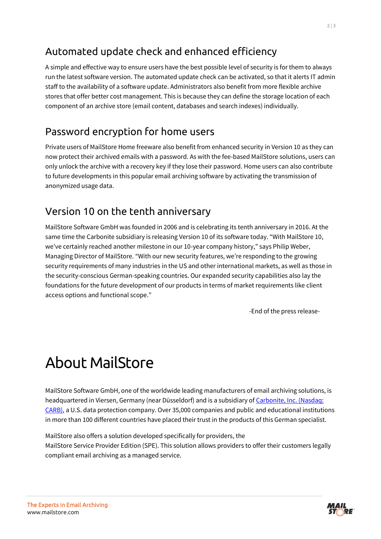### Automated update check and enhanced efficiency

A simple and effective way to ensure users have the best possible level of security is for them to always run the latest software version. The automated update check can be activated, so that it alerts IT admin staff to the availability of a software update. Administrators also benefit from more flexible archive stores that offer better cost management. This is because they can define the storage location of each component of an archive store (email content, databases and search indexes) individually.

#### Password encryption for home users

Private users of MailStore Home freeware also benefit from enhanced security in Version 10 as they can now protect their archived emails with a password. As with the fee-based MailStore solutions, users can only unlock the archive with a recovery key if they lose their password. Home users can also contribute to future developments in this popular email archiving software by activating the transmission of anonymized usage data.

#### Version 10 on the tenth anniversary

MailStore Software GmbH was founded in 2006 and is celebrating its tenth anniversary in 2016. At the same time the Carbonite subsidiary is releasing Version 10 of its software today. "With MailStore 10, we've certainly reached another milestone in our 10-year company history," says Philip Weber, Managing Director of MailStore. "With our new security features, we're responding to the growing security requirements of many industries in the US and other international markets, as well as those in the security-conscious German-speaking countries. Our expanded security capabilities also lay the foundations for the future development of our products in terms of market requirements like client access options and functional scope."

-End of the press release-

# About MailStore

MailStore Software GmbH, one of the worldwide leading manufacturers of email archiving solutions, is headquartered in Viersen, Germany (near Düsseldorf) and is a subsidiary of [Carbonite, Inc. \(Nasdaq:](https://www.carbonite.com/de)  [CARB\),](https://www.carbonite.com/de) a U.S. data protection company. Over 35,000 companies and public and educational institutions in more than 100 different countries have placed their trust in the products of this German specialist.

MailStore also offers a solution developed specifically for providers, the MailStore Service Provider Edition (SPE). This solution allows providers to offer their customers legally compliant email archiving as a managed service.